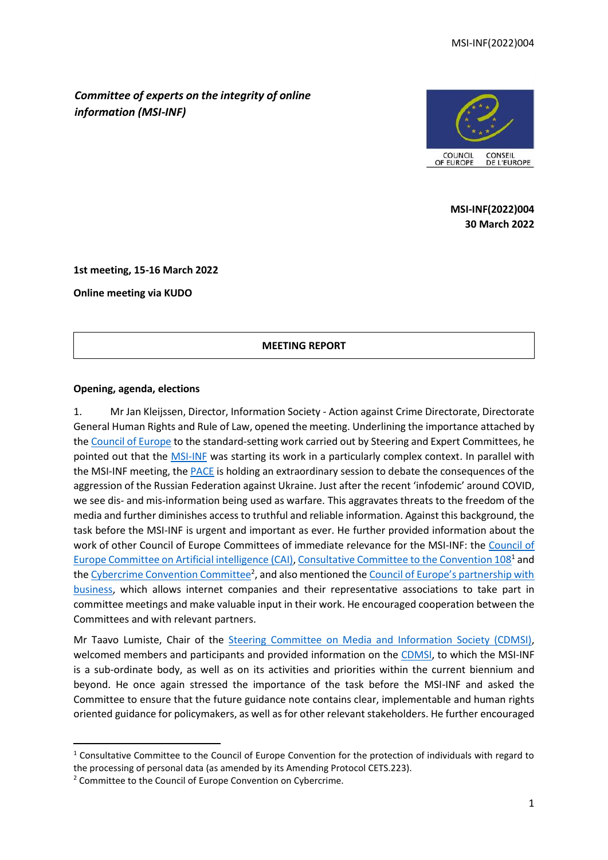*Committee of experts on the integrity of online information (MSI-INF)*



**MSI-INF(2022)004 30 March 2022**

**1st meeting, 15-16 March 2022**

**Online meeting via KUDO**

#### **MEETING REPORT**

#### **Opening, agenda, elections**

1. Mr Jan Kleijssen, Director, Information Society - Action against Crime Directorate, Directorate General Human Rights and Rule of Law, opened the meeting. Underlining the importance attached by th[e Council of Europe](https://www.coe.int/en/web/portal) to the standard-setting work carried out by Steering and Expert Committees, he pointed out that the **MSI-INF** was starting its work in a particularly complex context. In parallel with the MSI-INF meeting, the **PACE** is holding an extraordinary session to debate the consequences of the aggression of the Russian Federation against Ukraine. Just after the recent 'infodemic' around COVID, we see dis- and mis-information being used as warfare. This aggravates threats to the freedom of the media and further diminishes access to truthful and reliable information. Against this background, the task before the MSI-INF is urgent and important as ever. He further provided information about the work of other Council of Europe Committees of immediate relevance for the MSI-INF: the [Council of](https://www.coe.int/en/web/artificial-intelligence/home)  [Europe Committee on Artificial intelligence \(CAI\),](https://www.coe.int/en/web/artificial-intelligence/home) [Consultative Committee to the Convention 108](https://www.coe.int/en/web/data-protection/consultative-committee-tpd)<sup>1</sup> and th[e Cybercrime Convention Committee](https://www.coe.int/en/web/cybercrime/tcy)<sup>2</sup>, and also mentioned the Council of Europe's partnership with [business,](https://www.coe.int/en/web/freedom-expression/digital-partnership) which allows internet companies and their representative associations to take part in committee meetings and make valuable input in their work. He encouraged cooperation between the Committees and with relevant partners.

Mr Taavo Lumiste, Chair of the [Steering Committee on Media and Information Society \(CDMSI\),](https://www.coe.int/en/web/freedom-expression/cdmsi) welcomed members and participants and provided information on the [CDMSI,](https://www.coe.int/en/web/freedom-expression/cdmsi) to which the MSI-INF is a sub-ordinate body, as well as on its activities and priorities within the current biennium and beyond. He once again stressed the importance of the task before the MSI-INF and asked the Committee to ensure that the future guidance note contains clear, implementable and human rights oriented guidance for policymakers, as well as for other relevant stakeholders. He further encouraged

 $1$  Consultative Committee to the Council of Europe Convention for the protection of individuals with regard to the processing of personal data (as amended by its Amending Protocol CETS.223).

<sup>&</sup>lt;sup>2</sup> Committee to the Council of Europe Convention on Cybercrime.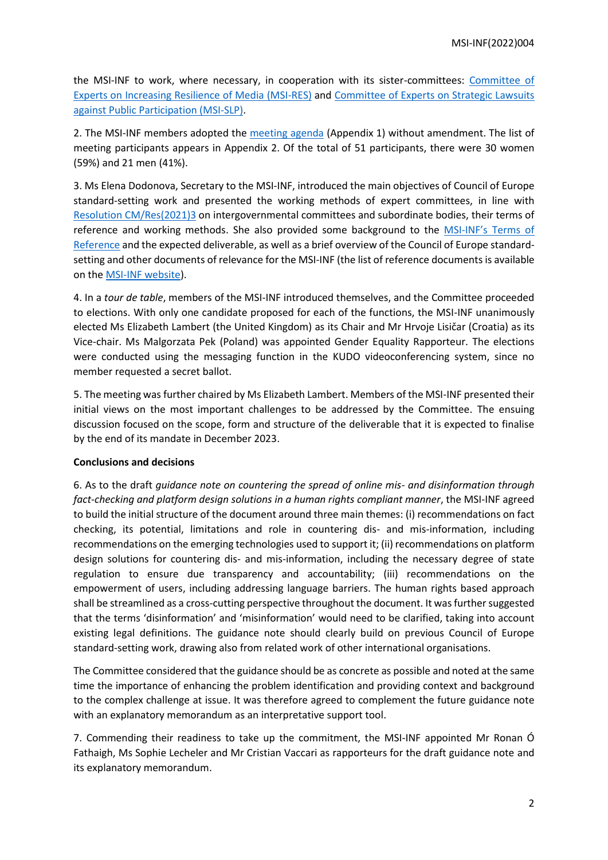the MSI-INF to work, where necessary, in cooperation with its sister-committees: [Committee of](https://www.coe.int/en/web/freedom-expression/msi-res)  [Experts on Increasing Resilience of Media \(MSI-RES\)](https://www.coe.int/en/web/freedom-expression/msi-res) and [Committee of Experts on Strategic Lawsuits](https://www.coe.int/en/web/freedom-expression/msi-slp)  [against Public Participation \(MSI-SLP\).](https://www.coe.int/en/web/freedom-expression/msi-slp)

2. The MSI-INF members adopted the [meeting agenda](https://rm.coe.int/msi-inf-2022-1-draft-agenda-1st-meeting-en-2775-1885-5173-3/1680a555c8) (Appendix 1) without amendment. The list of meeting participants appears in Appendix 2. Of the total of 51 participants, there were 30 women (59%) and 21 men (41%).

3. Ms Elena Dodonova, Secretary to the MSI-INF, introduced the main objectives of Council of Europe standard-setting work and presented the working methods of expert committees, in line with [Resolution CM/Res\(2021\)3](https://search.coe.int/cm/Pages/result_details.aspx?ObjectId=0900001680a27292) on intergovernmental committees and subordinate bodies, their terms of reference and working methods. She also provided some background to the MSI-INF's [Terms of](https://rm.coe.int/terms-of-reference-of-the-committee-of-experts-on-the-integrity-of-onl/1680a4ee6a)  [Reference](https://rm.coe.int/terms-of-reference-of-the-committee-of-experts-on-the-integrity-of-onl/1680a4ee6a) and the expected deliverable, as well as a brief overview of the Council of Europe standardsetting and other documents of relevance for the MSI-INF (the list of reference documents is available on th[e MSI-INF](https://www.coe.int/en/web/freedom-expression/msi-inf) website).

4. In a *tour de table*, members of the MSI-INF introduced themselves, and the Committee proceeded to elections. With only one candidate proposed for each of the functions, the MSI-INF unanimously elected Ms Elizabeth Lambert (the United Kingdom) as its Chair and Mr Hrvoje Lisičar (Croatia) as its Vice-chair. Ms Malgorzata Pek (Poland) was appointed Gender Equality Rapporteur. The elections were conducted using the messaging function in the KUDO videoconferencing system, since no member requested a secret ballot.

5. The meeting was further chaired by Ms Elizabeth Lambert. Members of the MSI-INF presented their initial views on the most important challenges to be addressed by the Committee. The ensuing discussion focused on the scope, form and structure of the deliverable that it is expected to finalise by the end of its mandate in December 2023.

# **Conclusions and decisions**

6. As to the draft *guidance note on countering the spread of online mis- and disinformation through fact-checking and platform design solutions in a human rights compliant manner*, the MSI-INF agreed to build the initial structure of the document around three main themes: (i) recommendations on fact checking, its potential, limitations and role in countering dis- and mis-information, including recommendations on the emerging technologies used to support it; (ii) recommendations on platform design solutions for countering dis- and mis-information, including the necessary degree of state regulation to ensure due transparency and accountability; (iii) recommendations on the empowerment of users, including addressing language barriers. The human rights based approach shall be streamlined as a cross-cutting perspective throughout the document. It was further suggested that the terms 'disinformation' and 'misinformation' would need to be clarified, taking into account existing legal definitions. The guidance note should clearly build on previous Council of Europe standard-setting work, drawing also from related work of other international organisations.

The Committee considered that the guidance should be as concrete as possible and noted at the same time the importance of enhancing the problem identification and providing context and background to the complex challenge at issue. It was therefore agreed to complement the future guidance note with an explanatory memorandum as an interpretative support tool.

7. Commending their readiness to take up the commitment, the MSI-INF appointed Mr Ronan Ó Fathaigh, Ms Sophie Lecheler and Mr Cristian Vaccari as rapporteurs for the draft guidance note and its explanatory memorandum.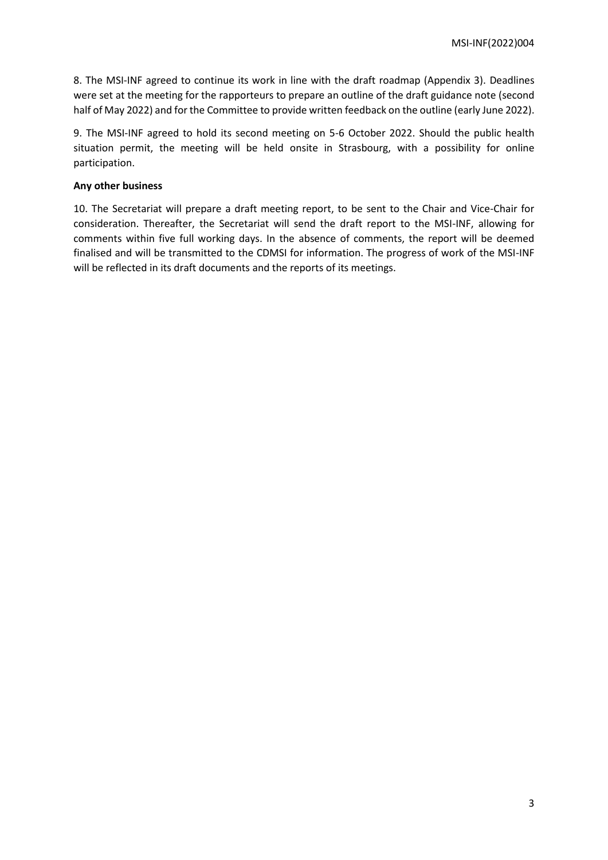8. The MSI-INF agreed to continue its work in line with the draft roadmap (Appendix 3). Deadlines were set at the meeting for the rapporteurs to prepare an outline of the draft guidance note (second half of May 2022) and for the Committee to provide written feedback on the outline (early June 2022).

9. The MSI-INF agreed to hold its second meeting on 5-6 October 2022. Should the public health situation permit, the meeting will be held onsite in Strasbourg, with a possibility for online participation.

# **Any other business**

10. The Secretariat will prepare a draft meeting report, to be sent to the Chair and Vice-Chair for consideration. Thereafter, the Secretariat will send the draft report to the MSI-INF, allowing for comments within five full working days. In the absence of comments, the report will be deemed finalised and will be transmitted to the CDMSI for information. The progress of work of the MSI-INF will be reflected in its draft documents and the reports of its meetings.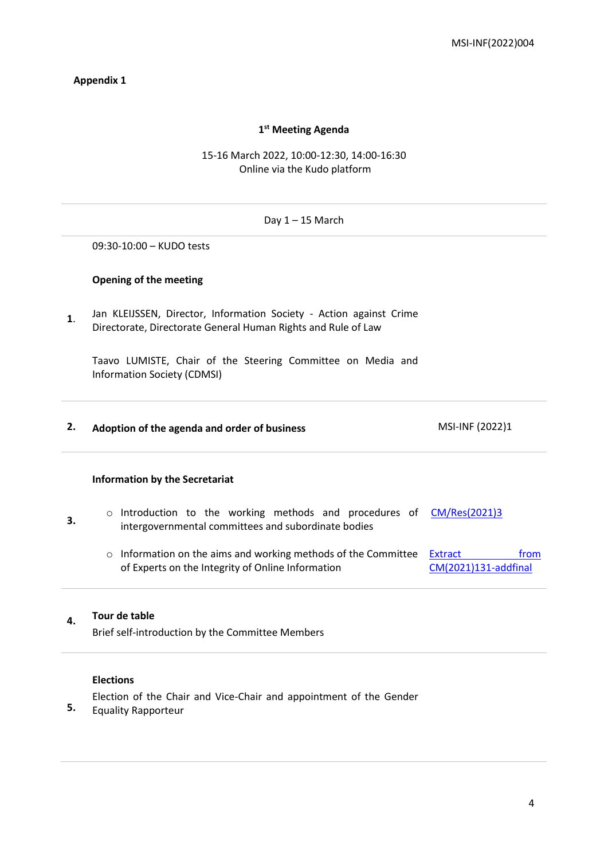# **Appendix 1**

# **1 st Meeting Agenda**

# 15-16 March 2022, 10:00-12:30, 14:00-16:30 Online via the Kudo platform

# Day  $1 - 15$  March **1**. 09:30-10:00 – KUDO tests **Opening of the meeting** Jan KLEIJSSEN, Director, Information Society - Action against Crime Directorate, Directorate General Human Rights and Rule of Law Taavo LUMISTE, Chair of the Steering Committee on Media and Information Society (CDMSI) **2. Adoption of the agenda and order of business** MSI-INF (2022)1 **3. Information by the Secretariat** o Introduction to the working methods and procedures of [CM/Res\(2021\)3](https://search.coe.int/cm/Pages/result_details.aspx?ObjectID=0900001680a27292) intergovernmental committees and subordinate bodies o Information on the aims and working methods of the Committee **Extract** From of Experts on the Integrity of Online Information [CM\(2021\)131-addfinal](https://rm.coe.int/terms-of-reference-of-the-committee-of-experts-on-the-integrity-of-onl/1680a4ee6a)

# **4. Tour de table**

Brief self-introduction by the Committee Members

#### **Elections**

Election of the Chair and Vice-Chair and appointment of the Gender

**5.** Equality Rapporteur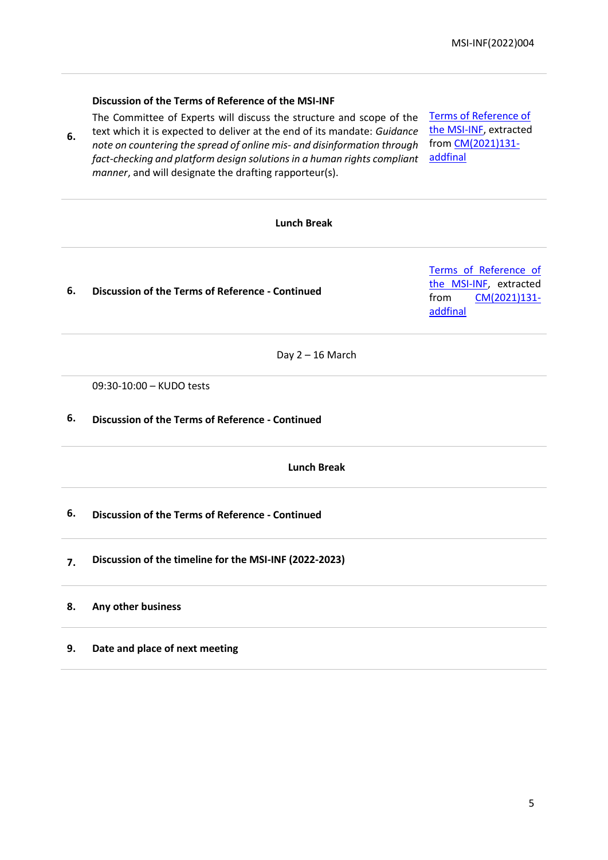# **Discussion of the Terms of Reference of the MSI-INF**

*manner*, and will designate the drafting rapporteur(s).

**6.**

The Committee of Experts will discuss the structure and scope of the text which it is expected to deliver at the end of its mandate: *Guidance note on countering the spread of online mis- and disinformation through* 

*fact-checking and platform design solutions in a human rights compliant* 

[Terms of Reference of](https://rm.coe.int/terms-of-reference-of-the-committee-of-experts-on-the-integrity-of-onl/1680a4ee6a)  [the MSI-INF,](https://rm.coe.int/terms-of-reference-of-the-committee-of-experts-on-the-integrity-of-onl/1680a4ee6a) extracted fro[m CM\(2021\)131](https://rm.coe.int/CoERMPublicCommonSearchServices/DisplayDCTMContent?documentId=0900001680a4a71e) [addfinal](https://rm.coe.int/CoERMPublicCommonSearchServices/DisplayDCTMContent?documentId=0900001680a4a71e)

# **Lunch Break 6. Discussion of the Terms of Reference - Continued** [Terms of Reference of](https://rm.coe.int/terms-of-reference-of-the-committee-of-experts-on-the-integrity-of-onl/1680a4ee6a)  [the MSI-INF,](https://rm.coe.int/terms-of-reference-of-the-committee-of-experts-on-the-integrity-of-onl/1680a4ee6a) extracted from [CM\(2021\)131](https://rm.coe.int/CoERMPublicCommonSearchServices/DisplayDCTMContent?documentId=0900001680a4a71e) [addfinal](https://rm.coe.int/CoERMPublicCommonSearchServices/DisplayDCTMContent?documentId=0900001680a4a71e) Day  $2 - 16$  March **6.** 09:30-10:00 – KUDO tests **Discussion of the Terms of Reference - Continued Lunch Break 6. Discussion of the Terms of Reference - Continued 7. Discussion of the timeline for the MSI-INF (2022-2023) 8. Any other business 9. Date and place of next meeting**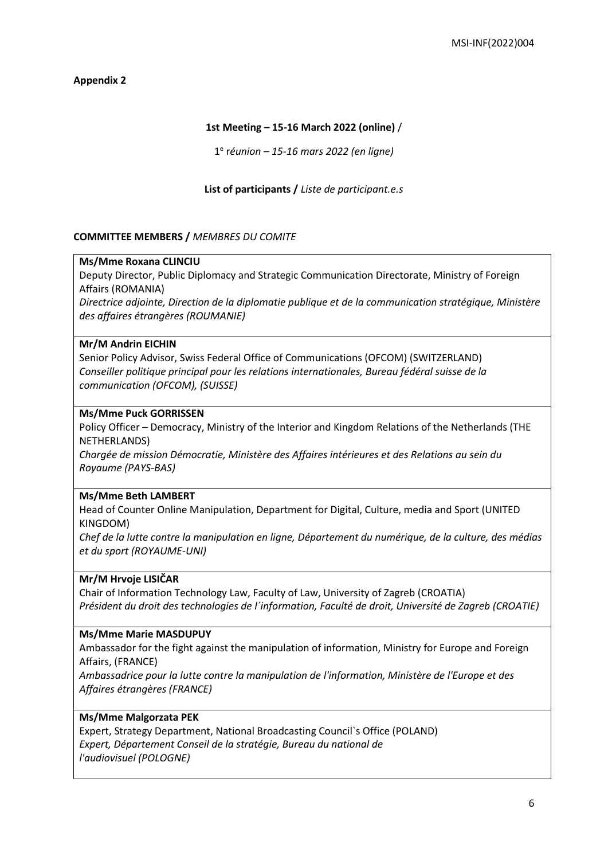**Appendix 2**

# **1st Meeting – 15-16 March 2022 (online)** /

1 e r*éunion – 15-16 mars 2022 (en ligne)*

# **List of participants /** *Liste de participant.e.s*

# **COMMITTEE MEMBERS /** *MEMBRES DU COMITE*

# **Ms/Mme Roxana CLINCIU**

Deputy Director, Public Diplomacy and Strategic Communication Directorate, Ministry of Foreign Affairs (ROMANIA)

*Directrice adjointe, Direction de la diplomatie publique et de la communication stratégique, Ministère des affaires étrangères (ROUMANIE)*

# **Mr/M Andrin EICHIN**

Senior Policy Advisor, Swiss Federal Office of Communications (OFCOM) (SWITZERLAND) *Conseiller politique principal pour les relations internationales, Bureau fédéral suisse de la communication (OFCOM), (SUISSE)*

# **Ms/Mme Puck GORRISSEN**

Policy Officer – Democracy, Ministry of the Interior and Kingdom Relations of the Netherlands (THE NETHERLANDS)

*Chargée de mission Démocratie, Ministère des Affaires intérieures et des Relations au sein du Royaume (PAYS-BAS)*

# **Ms/Mme Beth LAMBERT**

Head of Counter Online Manipulation, Department for Digital, Culture, media and Sport (UNITED KINGDOM)

*Chef de la lutte contre la manipulation en ligne, Département du numérique, de la culture, des médias et du sport (ROYAUME-UNI)*

# **Mr/M Hrvoje LISIČAR**

Chair of Information Technology Law, Faculty of Law, University of Zagreb (CROATIA) *Président du droit des technologies de l´information, Faculté de droit, Université de Zagreb (CROATIE)*

# **Ms/Mme Marie MASDUPUY**

Ambassador for the fight against the manipulation of information, Ministry for Europe and Foreign Affairs, (FRANCE)

*Ambassadrice pour la lutte contre la manipulation de l'information, Ministère de l'Europe et des Affaires étrangères (FRANCE)*

# **Ms/Mme Malgorzata PEK**

Expert, Strategy Department, National Broadcasting Council`s Office (POLAND) *Expert, Département Conseil de la stratégie, Bureau du national de l'audiovisuel (POLOGNE)*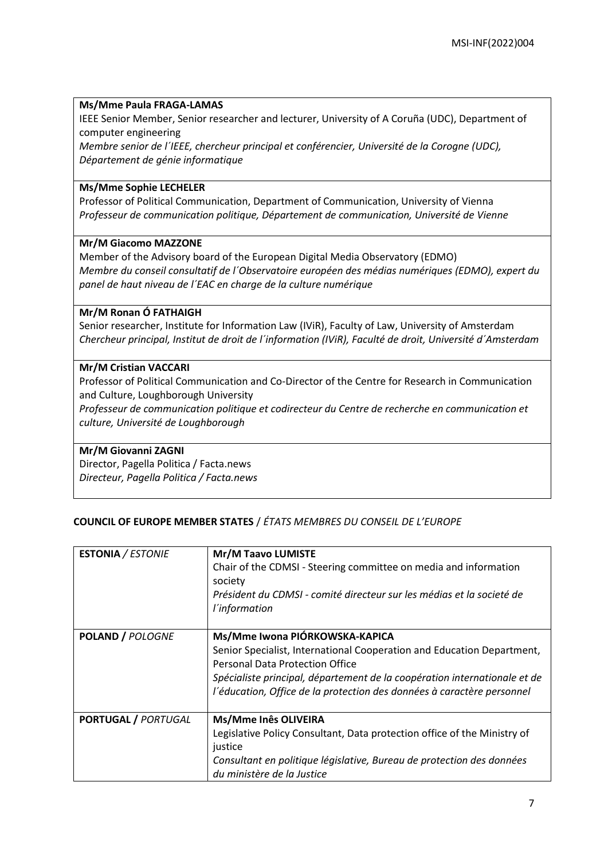# **Ms/Mme Paula FRAGA-LAMAS**

IEEE Senior Member, Senior researcher and lecturer, University of A Coruña (UDC), Department of computer engineering

*Membre senior de l´IEEE, chercheur principal et conférencier, Université de la Corogne (UDC), Département de génie informatique*

# **Ms/Mme Sophie LECHELER**

Professor of Political Communication, Department of Communication, University of Vienna *Professeur de communication politique, Département de communication, Université de Vienne*

# **Mr/M Giacomo MAZZONE**

Member of the Advisory board of the European Digital Media Observatory (EDMO) *Membre du conseil consultatif de l´Observatoire européen des médias numériques (EDMO), expert du panel de haut niveau de l´EAC en charge de la culture numérique*

# **Mr/M Ronan Ó FATHAIGH**

Senior researcher, Institute for Information Law (IViR), Faculty of Law, University of Amsterdam *Chercheur principal, Institut de droit de l´information (IViR), Faculté de droit, Université d´Amsterdam*

# **Mr/M Cristian VACCARI**

Professor of Political Communication and Co-Director of the Centre for Research in Communication and Culture, Loughborough University

*Professeur de communication politique et codirecteur du Centre de recherche en communication et culture, Université de Loughborough*

# **Mr/M Giovanni ZAGNI**

Director, Pagella Politica / Facta.news *Directeur, Pagella Politica / Facta.news*

# **COUNCIL OF EUROPE MEMBER STATES** / *ÉTATS MEMBRES DU CONSEIL DE L'EUROPE*

| <b>ESTONIA / ESTONIE</b>   | Mr/M Taavo LUMISTE<br>Chair of the CDMSI - Steering committee on media and information<br>society<br>Président du CDMSI - comité directeur sur les médias et la societé de<br>l'information                                                                                                               |
|----------------------------|-----------------------------------------------------------------------------------------------------------------------------------------------------------------------------------------------------------------------------------------------------------------------------------------------------------|
| <b>POLAND / POLOGNE</b>    | Ms/Mme Iwona PIÓRKOWSKA-KAPICA<br>Senior Specialist, International Cooperation and Education Department,<br><b>Personal Data Protection Office</b><br>Spécialiste principal, département de la coopération internationale et de<br>l'éducation, Office de la protection des données à caractère personnel |
| <b>PORTUGAL / PORTUGAL</b> | Ms/Mme Inês OLIVEIRA<br>Legislative Policy Consultant, Data protection office of the Ministry of<br>justice<br>Consultant en politique législative, Bureau de protection des données<br>du ministère de la Justice                                                                                        |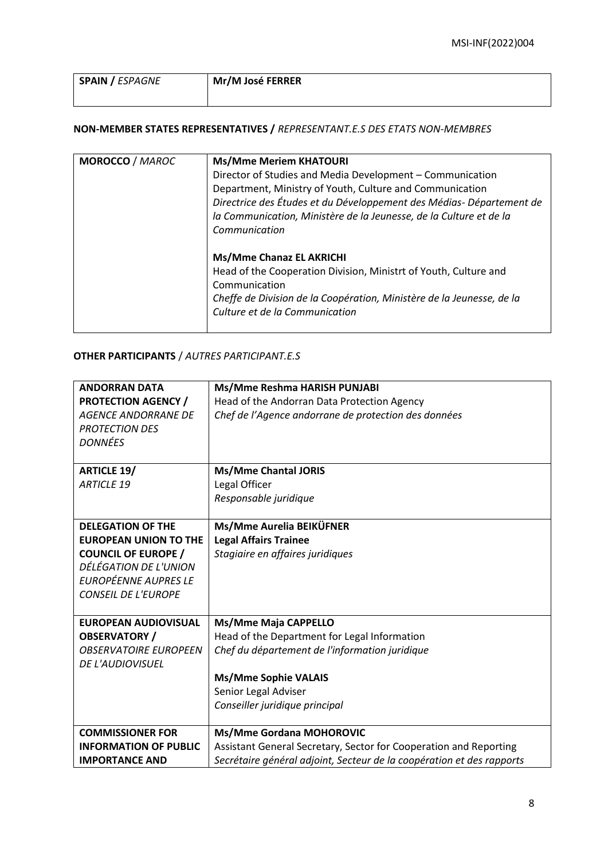| <b>SPAIN / ESPAGNE</b> | Mr/M José FERRER |
|------------------------|------------------|
|                        |                  |

# **NON-MEMBER STATES REPRESENTATIVES /** *REPRESENTANT.E.S DES ETATS NON-MEMBRES*

| <b>MOROCCO / MAROC</b> | <b>Ms/Mme Meriem KHATOURI</b><br>Director of Studies and Media Development - Communication<br>Department, Ministry of Youth, Culture and Communication<br>Directrice des Études et du Développement des Médias- Département de<br>la Communication, Ministère de la Jeunesse, de la Culture et de la<br>Communication<br>Ms/Mme Chanaz EL AKRICHI<br>Head of the Cooperation Division, Ministrt of Youth, Culture and<br>Communication<br>Cheffe de Division de la Coopération, Ministère de la Jeunesse, de la<br>Culture et de la Communication |
|------------------------|---------------------------------------------------------------------------------------------------------------------------------------------------------------------------------------------------------------------------------------------------------------------------------------------------------------------------------------------------------------------------------------------------------------------------------------------------------------------------------------------------------------------------------------------------|
|------------------------|---------------------------------------------------------------------------------------------------------------------------------------------------------------------------------------------------------------------------------------------------------------------------------------------------------------------------------------------------------------------------------------------------------------------------------------------------------------------------------------------------------------------------------------------------|

# **OTHER PARTICIPANTS** / *AUTRES PARTICIPANT.E.S*

| <b>ANDORRAN DATA</b>         | Ms/Mme Reshma HARISH PUNJABI                                          |
|------------------------------|-----------------------------------------------------------------------|
| <b>PROTECTION AGENCY /</b>   | Head of the Andorran Data Protection Agency                           |
| <b>AGENCE ANDORRANE DE</b>   | Chef de l'Agence andorrane de protection des données                  |
| <b>PROTECTION DES</b>        |                                                                       |
| <b>DONNÉES</b>               |                                                                       |
|                              |                                                                       |
| <b>ARTICLE 19/</b>           | <b>Ms/Mme Chantal JORIS</b>                                           |
| <b>ARTICLE 19</b>            | Legal Officer                                                         |
|                              | Responsable juridique                                                 |
|                              |                                                                       |
| <b>DELEGATION OF THE</b>     | Ms/Mme Aurelia BEIKÜFNER                                              |
| <b>EUROPEAN UNION TO THE</b> | <b>Legal Affairs Trainee</b>                                          |
| <b>COUNCIL OF EUROPE /</b>   | Stagiaire en affaires juridiques                                      |
| DÉLÉGATION DE L'UNION        |                                                                       |
| <b>EUROPÉENNE AUPRES LE</b>  |                                                                       |
| <b>CONSEIL DE L'EUROPE</b>   |                                                                       |
|                              |                                                                       |
| <b>EUROPEAN AUDIOVISUAL</b>  | Ms/Mme Maja CAPPELLO                                                  |
| <b>OBSERVATORY /</b>         | Head of the Department for Legal Information                          |
| <b>OBSERVATOIRE EUROPEEN</b> | Chef du département de l'information juridique                        |
| <b>DE L'AUDIOVISUEL</b>      |                                                                       |
|                              | <b>Ms/Mme Sophie VALAIS</b>                                           |
|                              | Senior Legal Adviser                                                  |
|                              | Conseiller juridique principal                                        |
|                              |                                                                       |
| <b>COMMISSIONER FOR</b>      | <b>Ms/Mme Gordana MOHOROVIC</b>                                       |
| <b>INFORMATION OF PUBLIC</b> | Assistant General Secretary, Sector for Cooperation and Reporting     |
| <b>IMPORTANCE AND</b>        | Secrétaire général adjoint, Secteur de la coopération et des rapports |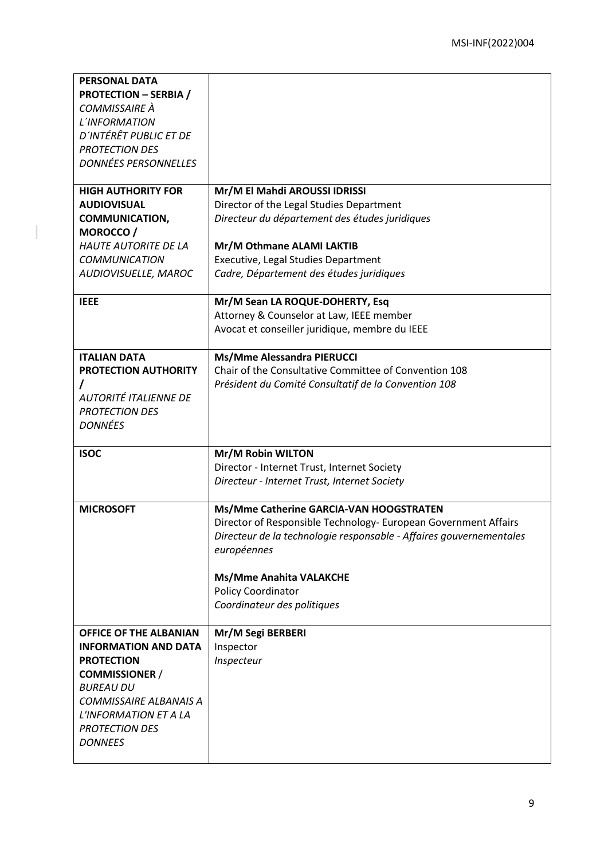| <b>PROTECTION - SERBIA /</b>            |                                                                     |
|-----------------------------------------|---------------------------------------------------------------------|
|                                         |                                                                     |
| COMMISSAIRE À                           |                                                                     |
| L'INFORMATION                           |                                                                     |
| D'INTÉRÊT PUBLIC ET DE                  |                                                                     |
| <b>PROTECTION DES</b>                   |                                                                     |
| <b>DONNÉES PERSONNELLES</b>             |                                                                     |
|                                         |                                                                     |
| <b>HIGH AUTHORITY FOR</b>               | Mr/M El Mahdi AROUSSI IDRISSI                                       |
| <b>AUDIOVISUAL</b>                      | Director of the Legal Studies Department                            |
| <b>COMMUNICATION,</b>                   | Directeur du département des études juridiques                      |
| MOROCCO/                                |                                                                     |
| <b>HAUTE AUTORITE DE LA</b>             | Mr/M Othmane ALAMI LAKTIB                                           |
| <b>COMMUNICATION</b>                    | Executive, Legal Studies Department                                 |
| AUDIOVISUELLE, MAROC                    | Cadre, Département des études juridiques                            |
|                                         |                                                                     |
| <b>IEEE</b>                             | Mr/M Sean LA ROQUE-DOHERTY, Esq                                     |
|                                         | Attorney & Counselor at Law, IEEE member                            |
|                                         | Avocat et conseiller juridique, membre du IEEE                      |
|                                         |                                                                     |
| <b>ITALIAN DATA</b>                     | Ms/Mme Alessandra PIERUCCI                                          |
| PROTECTION AUTHORITY                    | Chair of the Consultative Committee of Convention 108               |
|                                         | Président du Comité Consultatif de la Convention 108                |
| <b>AUTORITÉ ITALIENNE DE</b>            |                                                                     |
| <b>PROTECTION DES</b>                   |                                                                     |
| <b>DONNÉES</b>                          |                                                                     |
|                                         |                                                                     |
|                                         |                                                                     |
| <b>ISOC</b>                             | Mr/M Robin WILTON                                                   |
|                                         | Director - Internet Trust, Internet Society                         |
|                                         | Directeur - Internet Trust, Internet Society                        |
|                                         |                                                                     |
| <b>MICROSOFT</b>                        | Ms/Mme Catherine GARCIA-VAN HOOGSTRATEN                             |
|                                         | Director of Responsible Technology- European Government Affairs     |
|                                         | Directeur de la technologie responsable - Affaires gouvernementales |
|                                         | européennes                                                         |
|                                         |                                                                     |
|                                         | <b>Ms/Mme Anahita VALAKCHE</b>                                      |
|                                         | Policy Coordinator                                                  |
|                                         | Coordinateur des politiques                                         |
| <b>OFFICE OF THE ALBANIAN</b>           | Mr/M Segi BERBERI                                                   |
| <b>INFORMATION AND DATA</b>             |                                                                     |
| <b>PROTECTION</b>                       | Inspector                                                           |
|                                         | Inspecteur                                                          |
| <b>COMMISSIONER /</b>                   |                                                                     |
| <b>BUREAU DU</b>                        |                                                                     |
| COMMISSAIRE ALBANAIS A                  |                                                                     |
| L'INFORMATION ET A LA                   |                                                                     |
| <b>PROTECTION DES</b><br><b>DONNEES</b> |                                                                     |
|                                         |                                                                     |

 $\begin{array}{c} \hline \end{array}$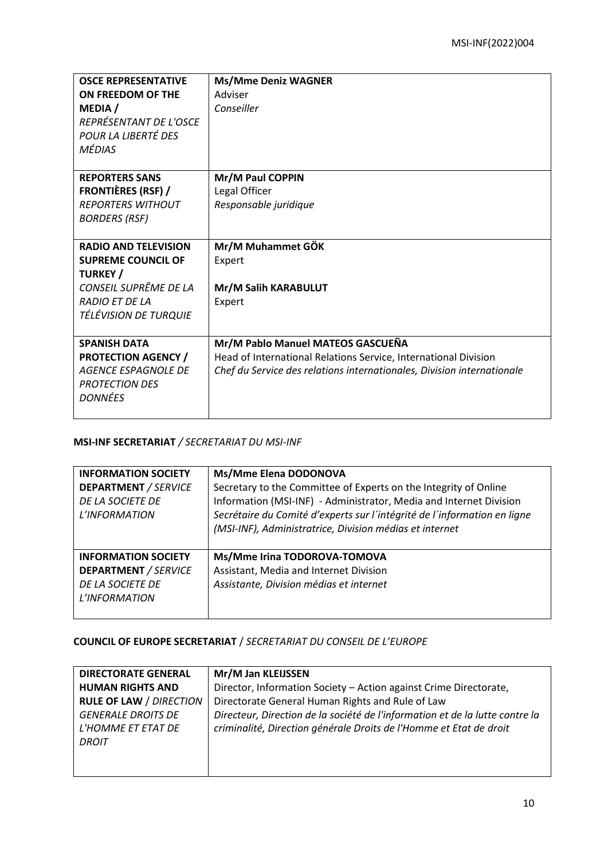| <b>OSCE REPRESENTATIVE</b><br>ON FREEDOM OF THE<br><b>MEDIA</b> /<br>REPRÉSENTANT DE L'OSCE<br>POUR LA LIBERTÉ DES<br><b>MÉDIAS</b>                    | <b>Ms/Mme Deniz WAGNER</b><br>Adviser<br>Conseiller                                                                                                                            |
|--------------------------------------------------------------------------------------------------------------------------------------------------------|--------------------------------------------------------------------------------------------------------------------------------------------------------------------------------|
| <b>REPORTERS SANS</b><br><b>FRONTIÈRES (RSF) /</b><br><b>REPORTERS WITHOUT</b><br><b>BORDERS (RSF)</b>                                                 | Mr/M Paul COPPIN<br>Legal Officer<br>Responsable juridique                                                                                                                     |
| <b>RADIO AND TELEVISION</b><br><b>SUPREME COUNCIL OF</b><br><b>TURKEY</b> /<br>CONSEIL SUPRÊME DE LA<br><b>RADIO ET DE LA</b><br>TÉLÉVISION DE TURQUIE | Mr/M Muhammet GÖK<br>Expert<br>Mr/M Salih KARABULUT<br>Expert                                                                                                                  |
| <b>SPANISH DATA</b><br><b>PROTECTION AGENCY /</b><br>AGENCE ESPAGNOLE DE<br><b>PROTECTION DES</b><br><b>DONNÉES</b>                                    | Mr/M Pablo Manuel MATEOS GASCUEÑA<br>Head of International Relations Service, International Division<br>Chef du Service des relations internationales, Division internationale |

# **MSI-INF SECRETARIAT** */ SECRETARIAT DU MSI-INF*

| <b>INFORMATION SOCIETY</b><br><b>DEPARTMENT / SERVICE</b><br>DE LA SOCIETE DE<br>L'INFORMATION | Ms/Mme Elena DODONOVA<br>Secretary to the Committee of Experts on the Integrity of Online<br>Information (MSI-INF) - Administrator, Media and Internet Division<br>Secrétaire du Comité d'experts sur l'intégrité de l'information en ligne<br>(MSI-INF), Administratrice, Division médias et internet |
|------------------------------------------------------------------------------------------------|--------------------------------------------------------------------------------------------------------------------------------------------------------------------------------------------------------------------------------------------------------------------------------------------------------|
| <b>INFORMATION SOCIETY</b><br><b>DEPARTMENT / SERVICE</b><br>DE LA SOCIETE DE<br>L'INFORMATION | Ms/Mme Irina TODOROVA-TOMOVA<br>Assistant, Media and Internet Division<br>Assistante, Division médias et internet                                                                                                                                                                                      |

# **COUNCIL OF EUROPE SECRETARIAT** / *SECRETARIAT DU CONSEIL DE L'EUROPE*

| <b>DIRECTORATE GENERAL</b>                                      | Mr/M Jan KLEIJSSEN                                                                                                                                 |
|-----------------------------------------------------------------|----------------------------------------------------------------------------------------------------------------------------------------------------|
| <b>HUMAN RIGHTS AND</b>                                         | Director, Information Society - Action against Crime Directorate,                                                                                  |
| <b>RULE OF LAW / DIRECTION</b>                                  | Directorate General Human Rights and Rule of Law                                                                                                   |
| <b>GENERALE DROITS DE</b><br>L'HOMME ET ETAT DE<br><b>DROIT</b> | Directeur, Direction de la société de l'information et de la lutte contre la<br>criminalité, Direction générale Droits de l'Homme et Etat de droit |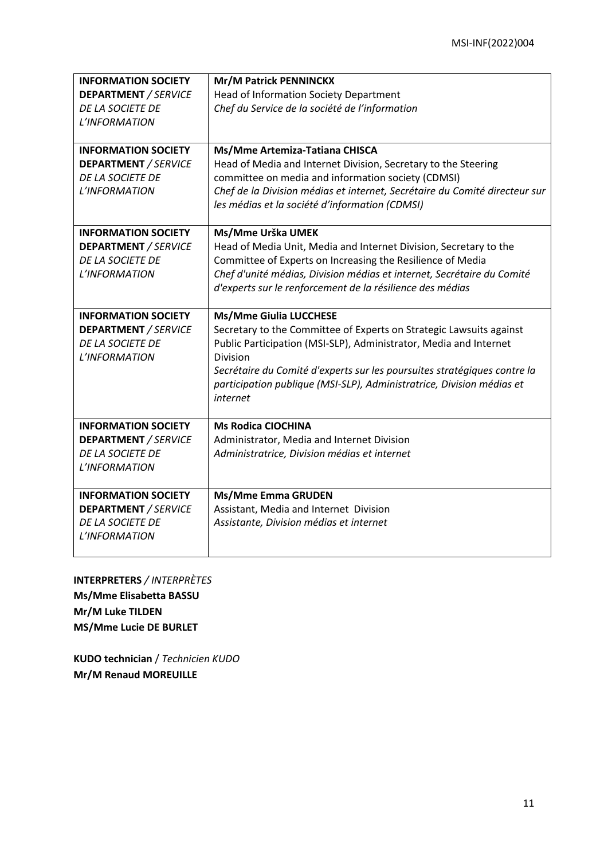| <b>INFORMATION SOCIETY</b>  | Mr/M Patrick PENNINCKX                                                            |
|-----------------------------|-----------------------------------------------------------------------------------|
| <b>DEPARTMENT / SERVICE</b> | <b>Head of Information Society Department</b>                                     |
| DE LA SOCIETE DE            | Chef du Service de la société de l'information                                    |
| L'INFORMATION               |                                                                                   |
|                             |                                                                                   |
| <b>INFORMATION SOCIETY</b>  | Ms/Mme Artemiza-Tatiana CHISCA                                                    |
| <b>DEPARTMENT / SERVICE</b> | Head of Media and Internet Division, Secretary to the Steering                    |
| <b>DE LA SOCIETE DE</b>     | committee on media and information society (CDMSI)                                |
| L'INFORMATION               | Chef de la Division médias et internet, Secrétaire du Comité directeur sur        |
|                             | les médias et la société d'information (CDMSI)                                    |
| <b>INFORMATION SOCIETY</b>  | Ms/Mme Urška UMEK                                                                 |
| <b>DEPARTMENT</b> / SERVICE | Head of Media Unit, Media and Internet Division, Secretary to the                 |
| DE LA SOCIETE DE            | Committee of Experts on Increasing the Resilience of Media                        |
| L'INFORMATION               | Chef d'unité médias, Division médias et internet, Secrétaire du Comité            |
|                             | d'experts sur le renforcement de la résilience des médias                         |
|                             |                                                                                   |
| <b>INFORMATION SOCIETY</b>  | <b>Ms/Mme Giulia LUCCHESE</b>                                                     |
| <b>DEPARTMENT / SERVICE</b> | Secretary to the Committee of Experts on Strategic Lawsuits against               |
| <b>DE LA SOCIETE DE</b>     | Public Participation (MSI-SLP), Administrator, Media and Internet                 |
| L'INFORMATION               | <b>Division</b>                                                                   |
|                             | Secrétaire du Comité d'experts sur les poursuites stratégiques contre la          |
|                             | participation publique (MSI-SLP), Administratrice, Division médias et<br>internet |
|                             |                                                                                   |
| <b>INFORMATION SOCIETY</b>  | <b>Ms Rodica CIOCHINA</b>                                                         |
| <b>DEPARTMENT / SERVICE</b> | Administrator, Media and Internet Division                                        |
| DE LA SOCIETE DE            | Administratrice, Division médias et internet                                      |
| L'INFORMATION               |                                                                                   |
|                             |                                                                                   |
| <b>INFORMATION SOCIETY</b>  | <b>Ms/Mme Emma GRUDEN</b>                                                         |
| <b>DEPARTMENT / SERVICE</b> | Assistant, Media and Internet Division                                            |
| DE LA SOCIETE DE            | Assistante, Division médias et internet                                           |
| L'INFORMATION               |                                                                                   |
|                             |                                                                                   |

**INTERPRETERS** */ INTERPRÈTES* **Ms/Mme Elisabetta BASSU Mr/M Luke TILDEN MS/Mme Lucie DE BURLET**

**KUDO technician** / *Technicien KUDO* **Mr/M Renaud MOREUILLE**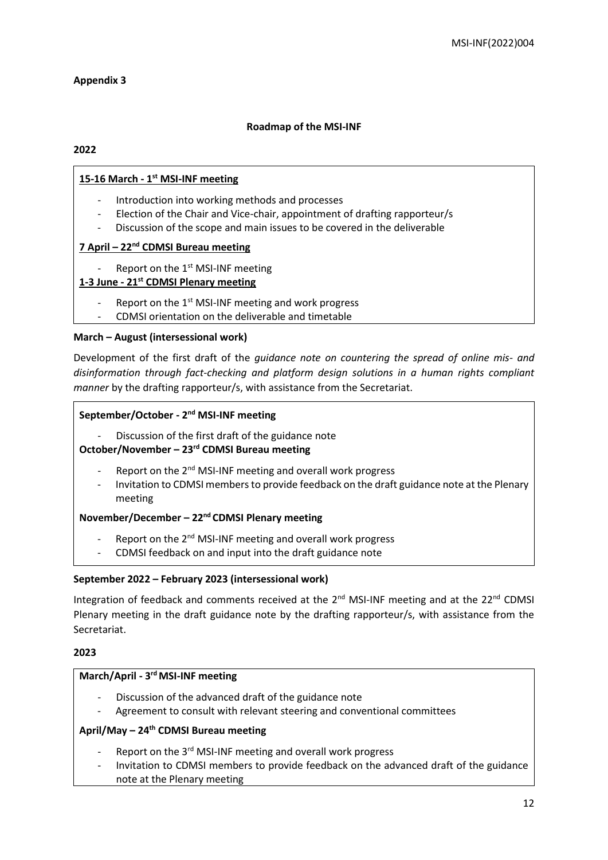# **Appendix 3**

# **Roadmap of the MSI-INF**

# **2022**

# **15-16 March - 1 st MSI-INF meeting**

- Introduction into working methods and processes
- Election of the Chair and Vice-chair, appointment of drafting rapporteur/s
- Discussion of the scope and main issues to be covered in the deliverable

# **7 April – 22nd CDMSI Bureau meeting**

Report on the 1<sup>st</sup> MSI-INF meeting

# **1-3 June - 21st CDMSI Plenary meeting**

- Report on the 1<sup>st</sup> MSI-INF meeting and work progress
- CDMSI orientation on the deliverable and timetable

# **March – August (intersessional work)**

Development of the first draft of the *guidance note on countering the spread of online mis- and disinformation through fact-checking and platform design solutions in a human rights compliant manner* by the drafting rapporteur/s, with assistance from the Secretariat.

# **September/October - 2 nd MSI-INF meeting**

Discussion of the first draft of the guidance note

# **October/November – 23rd CDMSI Bureau meeting**

- Report on the 2<sup>nd</sup> MSI-INF meeting and overall work progress
- Invitation to CDMSI members to provide feedback on the draft guidance note at the Plenary meeting

# **November/December – 22nd CDMSI Plenary meeting**

- Report on the  $2^{nd}$  MSI-INF meeting and overall work progress
- CDMSI feedback on and input into the draft guidance note

# **September 2022 – February 2023 (intersessional work)**

Integration of feedback and comments received at the 2<sup>nd</sup> MSI-INF meeting and at the 22<sup>nd</sup> CDMSI Plenary meeting in the draft guidance note by the drafting rapporteur/s, with assistance from the Secretariat.

# **2023**

# **March/April - 3 rd MSI-INF meeting**

- Discussion of the advanced draft of the guidance note
- Agreement to consult with relevant steering and conventional committees

# **April/May – 24th CDMSI Bureau meeting**

- Report on the 3<sup>rd</sup> MSI-INF meeting and overall work progress
- Invitation to CDMSI members to provide feedback on the advanced draft of the guidance note at the Plenary meeting